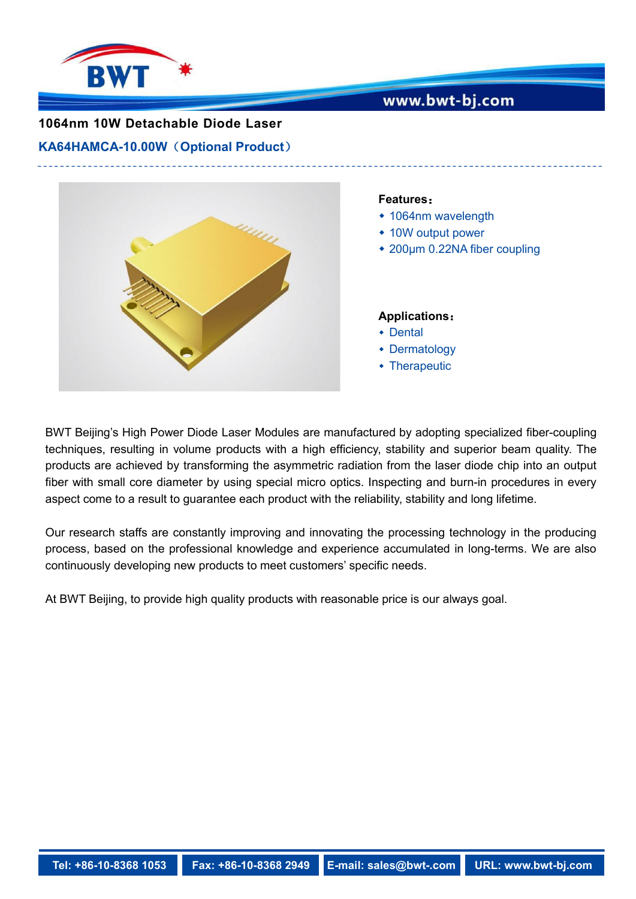

## www.bwt-bj.com

# **1064nm 10W Detachable Diode Laser**

**KA64HAMCA-10.00W**(**Optional Product**)



#### **Features**:

- 1064nm wavelength
- 10W output power
- 200µm 0.22NA fiber coupling

#### **Applications**:

- Dental
- Dermatology
- Therapeutic

BWT Beijing's High Power Diode Laser Modules are manufactured by adopting specialized fiber-coupling techniques, resulting in volume products with a high efficiency, stability and superior beam quality. The products are achieved by transforming the asymmetric radiation from the laser diode chip into an output fiber with small core diameter by using special micro optics. Inspecting and burn-in procedures in every aspect come to a result to guarantee each product with the reliability, stability and long lifetime.

Our research staffs are constantly improving and innovating the processing technology in the producing process, based on the professional knowledge and experience accumulated in long-terms. We are also continuously developing new products to meet customers' specific needs.

At BWT Beijing, to provide high quality products with reasonable price is our always goal.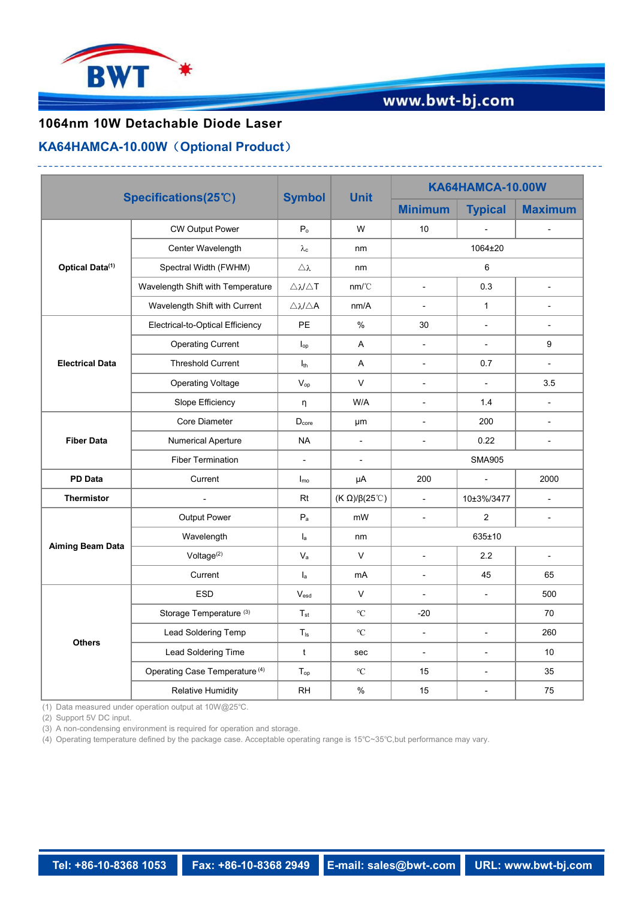

# www.bwt-bj.com

## **1064nm 10W Detachable Diode Laser**

### **KA64HAMCA-10.00W**(**Optional Product**)

|                             |                                           | <b>Symbol</b>                            |                               | KA64HAMCA-10.00W         |                          |                             |
|-----------------------------|-------------------------------------------|------------------------------------------|-------------------------------|--------------------------|--------------------------|-----------------------------|
|                             | Specifications(25°C)                      |                                          | <b>Unit</b>                   | <b>Minimum</b>           | <b>Typical</b>           | <b>Maximum</b>              |
| Optical Data <sup>(1)</sup> | <b>CW Output Power</b>                    | $\mathsf{P}_\circ$                       | W                             | 10                       |                          |                             |
|                             | Center Wavelength                         | $\lambda\text{c}$                        | nm                            |                          | 1064±20                  |                             |
|                             | Spectral Width (FWHM)                     | $\triangle$ $\lambda$                    | nm                            | $\,6\,$                  |                          |                             |
|                             | Wavelength Shift with Temperature         | $\triangle \lambda/\triangle \mathsf{T}$ | nm/C                          | $\overline{a}$           | 0.3                      | $\mathbf{r}$                |
|                             | Wavelength Shift with Current             | $\triangle \lambda/\triangle {\sf A}$    | nm/A                          | $\overline{\phantom{a}}$ | $\mathbf{1}$             | $\blacksquare$              |
| <b>Electrical Data</b>      | Electrical-to-Optical Efficiency          | PE                                       | %                             | 30                       | $\overline{\phantom{a}}$ | $\blacksquare$              |
|                             | <b>Operating Current</b>                  | $\mathsf{I}_{\mathsf{op}}$               | Α                             | $\overline{\phantom{a}}$ | $\overline{a}$           | 9                           |
|                             | <b>Threshold Current</b>                  | $I_{th}$                                 | Α                             | $\blacksquare$           | 0.7                      | $\mathbf{r}$                |
|                             | <b>Operating Voltage</b>                  | $V_{op}$                                 | V                             | $\overline{\phantom{a}}$ | $\mathbb{L}$             | 3.5                         |
|                             | Slope Efficiency                          | η                                        | W/A                           | $\overline{\phantom{a}}$ | 1.4                      | $\blacksquare$              |
| <b>Fiber Data</b>           | Core Diameter                             | $D_{core}$                               | μm                            | $\overline{\phantom{a}}$ | 200                      | $\overline{\phantom{a}}$    |
|                             | <b>Numerical Aperture</b>                 | <b>NA</b>                                | $\overline{\phantom{a}}$      | $\blacksquare$           | 0.22                     | $\blacksquare$              |
|                             | <b>Fiber Termination</b>                  | $\blacksquare$                           | $\overline{\phantom{a}}$      | <b>SMA905</b>            |                          |                             |
| PD Data                     | Current                                   | $I_{\text{mo}}$                          | μA                            | 200                      | $\overline{a}$           | 2000                        |
| Thermistor                  | $\blacksquare$                            | Rt                                       | (K $\Omega$ )/ $\beta$ (25°C) | $\sim$                   | 10±3%/3477               | $\blacksquare$              |
| <b>Aiming Beam Data</b>     | Output Power                              | $\mathsf{P}_{\mathsf{a}}$                | mW                            | $\overline{\phantom{a}}$ | $\overline{2}$           | $\blacksquare$              |
|                             | Wavelength                                | $\mathsf{I}_\mathsf{a}$                  | nm                            | 635±10                   |                          |                             |
|                             | Voltage <sup>(2)</sup>                    | $\mathsf{V}_{\mathsf{a}}$                | V                             | $\blacksquare$           | 2.2                      | $\mathcal{L}_{\mathcal{A}}$ |
|                             | Current                                   | $I_{a}$                                  | mA                            | $\overline{\phantom{a}}$ | 45                       | 65                          |
| <b>Others</b>               | ESD                                       | $V_{\sf esd}$                            | $\vee$                        | $\overline{\phantom{a}}$ | $\overline{a}$           | 500                         |
|                             | Storage Temperature <sup>(3)</sup>        | $T_{\text{st}}$                          | $^{\circ}\mathrm{C}$          | $-20$                    |                          | 70                          |
|                             | Lead Soldering Temp                       | $T_{ls}$                                 | $^{\circ}\mathrm{C}$          | $\overline{\phantom{a}}$ | $\overline{a}$           | 260                         |
|                             | Lead Soldering Time                       | $\mathbf{t}$                             | sec                           | $\overline{\phantom{a}}$ | L,                       | 10 <sup>°</sup>             |
|                             | Operating Case Temperature <sup>(4)</sup> | $T_{op}$                                 | $^{\circ}\mathrm{C}$          | 15                       | $\overline{a}$           | 35                          |
|                             | <b>Relative Humidity</b>                  | RH                                       | $\%$                          | 15                       | $\overline{a}$           | 75                          |

(1) Data measured under operation output at 10W@25℃.

(2) Support 5V DC input.

(3) A non-condensing environment is required for operation and storage.

(4) Operating temperature defined by the package case. Acceptable operating range is15℃~35℃,but performance may vary.